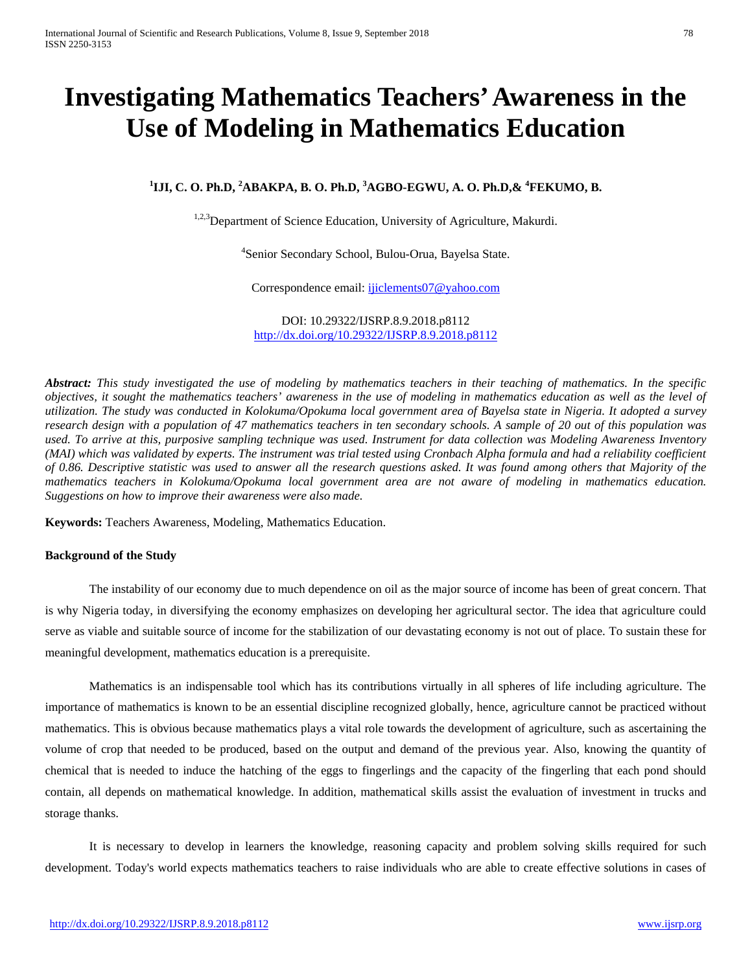# **Investigating Mathematics Teachers' Awareness in the Use of Modeling in Mathematics Education**

# **1 IJI, C. O. Ph.D, <sup>2</sup> ABAKPA, B. O. Ph.D, <sup>3</sup> AGBO-EGWU, A. O. Ph.D,& <sup>4</sup> FEKUMO, B.**

<sup>1,2,3</sup>Department of Science Education, University of Agriculture, Makurdi.

4 Senior Secondary School, Bulou-Orua, Bayelsa State.

Correspondence email: [ijiclements07@yahoo.com](mailto:ijiclements07@yahoo.com)

DOI: 10.29322/IJSRP.8.9.2018.p8112 <http://dx.doi.org/10.29322/IJSRP.8.9.2018.p8112>

*Abstract: This study investigated the use of modeling by mathematics teachers in their teaching of mathematics. In the specific objectives, it sought the mathematics teachers' awareness in the use of modeling in mathematics education as well as the level of utilization. The study was conducted in Kolokuma/Opokuma local government area of Bayelsa state in Nigeria. It adopted a survey research design with a population of 47 mathematics teachers in ten secondary schools. A sample of 20 out of this population was used. To arrive at this, purposive sampling technique was used. Instrument for data collection was Modeling Awareness Inventory (MAI) which was validated by experts. The instrument was trial tested using Cronbach Alpha formula and had a reliability coefficient of 0.86. Descriptive statistic was used to answer all the research questions asked. It was found among others that Majority of the*  mathematics teachers in Kolokuma/Opokuma local government area are not aware of modeling in mathematics education. *Suggestions on how to improve their awareness were also made.*

**Keywords:** Teachers Awareness, Modeling, Mathematics Education.

## **Background of the Study**

The instability of our economy due to much dependence on oil as the major source of income has been of great concern. That is why Nigeria today, in diversifying the economy emphasizes on developing her agricultural sector. The idea that agriculture could serve as viable and suitable source of income for the stabilization of our devastating economy is not out of place. To sustain these for meaningful development, mathematics education is a prerequisite.

Mathematics is an indispensable tool which has its contributions virtually in all spheres of life including agriculture. The importance of mathematics is known to be an essential discipline recognized globally, hence, agriculture cannot be practiced without mathematics. This is obvious because mathematics plays a vital role towards the development of agriculture, such as ascertaining the volume of crop that needed to be produced, based on the output and demand of the previous year. Also, knowing the quantity of chemical that is needed to induce the hatching of the eggs to fingerlings and the capacity of the fingerling that each pond should contain, all depends on mathematical knowledge. In addition, mathematical skills assist the evaluation of investment in trucks and storage thanks.

It is necessary to develop in learners the knowledge, reasoning capacity and problem solving skills required for such development. Today's world expects mathematics teachers to raise individuals who are able to create effective solutions in cases of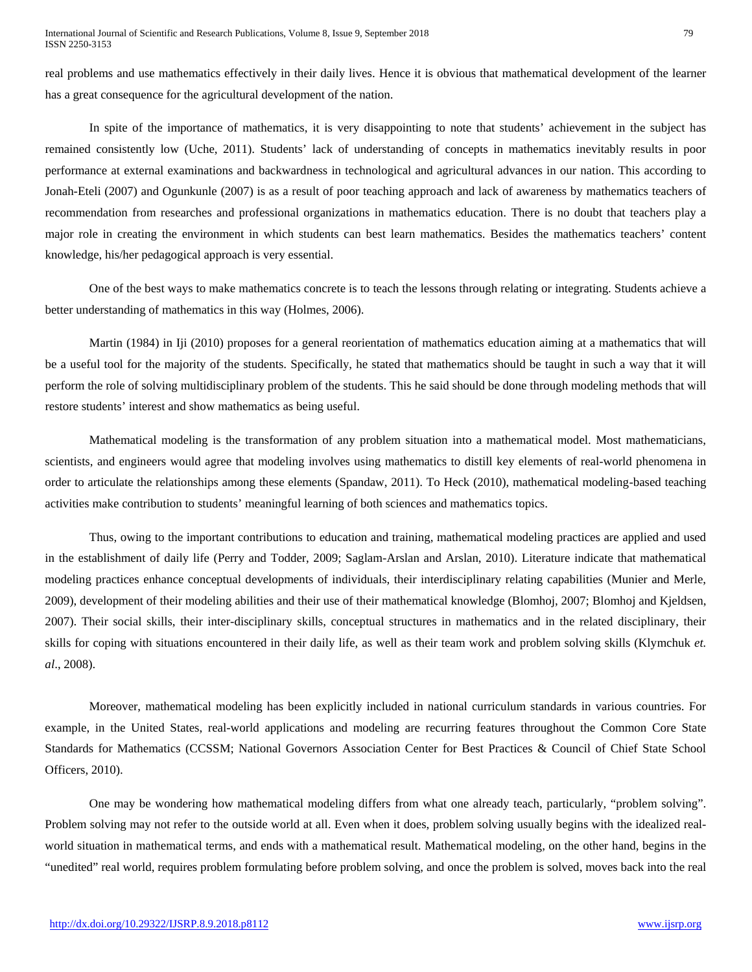real problems and use mathematics effectively in their daily lives. Hence it is obvious that mathematical development of the learner has a great consequence for the agricultural development of the nation.

In spite of the importance of mathematics, it is very disappointing to note that students' achievement in the subject has remained consistently low (Uche, 2011). Students' lack of understanding of concepts in mathematics inevitably results in poor performance at external examinations and backwardness in technological and agricultural advances in our nation. This according to Jonah-Eteli (2007) and Ogunkunle (2007) is as a result of poor teaching approach and lack of awareness by mathematics teachers of recommendation from researches and professional organizations in mathematics education. There is no doubt that teachers play a major role in creating the environment in which students can best learn mathematics. Besides the mathematics teachers' content knowledge, his/her pedagogical approach is very essential.

One of the best ways to make mathematics concrete is to teach the lessons through relating or integrating. Students achieve a better understanding of mathematics in this way (Holmes, 2006).

Martin (1984) in Iji (2010) proposes for a general reorientation of mathematics education aiming at a mathematics that will be a useful tool for the majority of the students. Specifically, he stated that mathematics should be taught in such a way that it will perform the role of solving multidisciplinary problem of the students. This he said should be done through modeling methods that will restore students' interest and show mathematics as being useful.

Mathematical modeling is the transformation of any problem situation into a mathematical model. Most mathematicians, scientists, and engineers would agree that modeling involves using mathematics to distill key elements of real-world phenomena in order to articulate the relationships among these elements (Spandaw, 2011). To Heck (2010), mathematical modeling-based teaching activities make contribution to students' meaningful learning of both sciences and mathematics topics.

Thus, owing to the important contributions to education and training, mathematical modeling practices are applied and used in the establishment of daily life (Perry and Todder, 2009; Saglam-Arslan and Arslan, 2010). Literature indicate that mathematical modeling practices enhance conceptual developments of individuals, their interdisciplinary relating capabilities (Munier and Merle, 2009), development of their modeling abilities and their use of their mathematical knowledge (Blomhoj, 2007; Blomhoj and Kjeldsen, 2007). Their social skills, their inter-disciplinary skills, conceptual structures in mathematics and in the related disciplinary, their skills for coping with situations encountered in their daily life, as well as their team work and problem solving skills (Klymchuk *et. al*., 2008).

Moreover, mathematical modeling has been explicitly included in national curriculum standards in various countries. For example, in the United States, real-world applications and modeling are recurring features throughout the Common Core State Standards for Mathematics (CCSSM; National Governors Association Center for Best Practices & Council of Chief State School Officers, 2010).

One may be wondering how mathematical modeling differs from what one already teach, particularly, "problem solving". Problem solving may not refer to the outside world at all. Even when it does, problem solving usually begins with the idealized realworld situation in mathematical terms, and ends with a mathematical result. Mathematical modeling, on the other hand, begins in the "unedited" real world, requires problem formulating before problem solving, and once the problem is solved, moves back into the real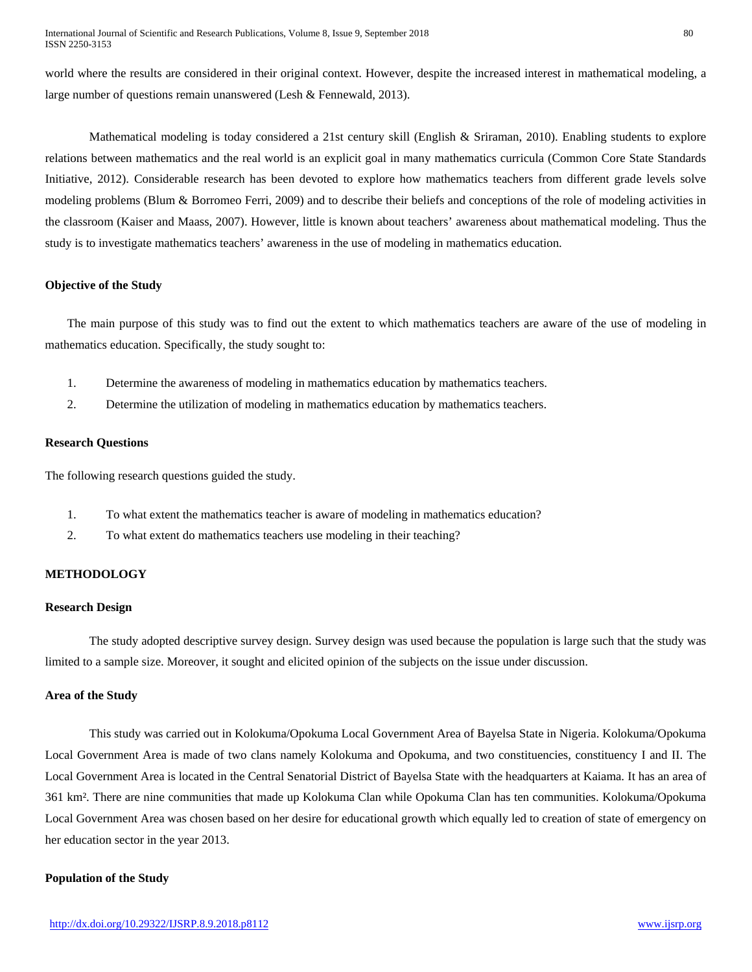world where the results are considered in their original context. However, despite the increased interest in mathematical modeling, a large number of questions remain unanswered (Lesh & Fennewald, 2013).

Mathematical modeling is today considered a 21st century skill (English & Sriraman, 2010). Enabling students to explore relations between mathematics and the real world is an explicit goal in many mathematics curricula (Common Core State Standards Initiative, 2012). Considerable research has been devoted to explore how mathematics teachers from different grade levels solve modeling problems (Blum & Borromeo Ferri, 2009) and to describe their beliefs and conceptions of the role of modeling activities in the classroom (Kaiser and Maass, 2007). However, little is known about teachers' awareness about mathematical modeling. Thus the study is to investigate mathematics teachers' awareness in the use of modeling in mathematics education.

## **Objective of the Study**

The main purpose of this study was to find out the extent to which mathematics teachers are aware of the use of modeling in mathematics education. Specifically, the study sought to:

- 1. Determine the awareness of modeling in mathematics education by mathematics teachers.
- 2. Determine the utilization of modeling in mathematics education by mathematics teachers.

## **Research Questions**

The following research questions guided the study.

- 1. To what extent the mathematics teacher is aware of modeling in mathematics education?
- 2. To what extent do mathematics teachers use modeling in their teaching?

# **METHODOLOGY**

## **Research Design**

The study adopted descriptive survey design. Survey design was used because the population is large such that the study was limited to a sample size. Moreover, it sought and elicited opinion of the subjects on the issue under discussion.

## **Area of the Study**

This study was carried out in Kolokuma/Opokuma Local Government Area of Bayelsa State in Nigeria. Kolokuma/Opokuma Local Government Area is made of two clans namely Kolokuma and Opokuma, and two constituencies, constituency I and II. The Local Government Area is located in the Central Senatorial District of Bayelsa State with the headquarters at Kaiama. It has an area of 361 km². There are nine communities that made up Kolokuma Clan while Opokuma Clan has ten communities. Kolokuma/Opokuma Local Government Area was chosen based on her desire for educational growth which equally led to creation of state of emergency on her education sector in the year 2013.

## **Population of the Study**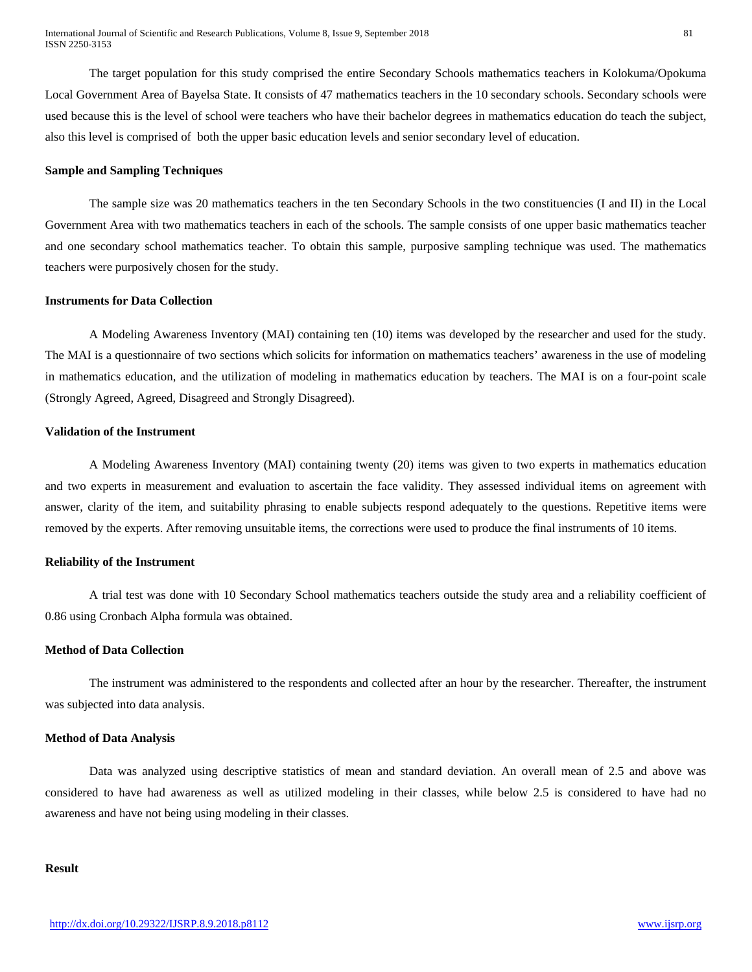The target population for this study comprised the entire Secondary Schools mathematics teachers in Kolokuma/Opokuma Local Government Area of Bayelsa State. It consists of 47 mathematics teachers in the 10 secondary schools. Secondary schools were used because this is the level of school were teachers who have their bachelor degrees in mathematics education do teach the subject, also this level is comprised of both the upper basic education levels and senior secondary level of education.

## **Sample and Sampling Techniques**

The sample size was 20 mathematics teachers in the ten Secondary Schools in the two constituencies (I and II) in the Local Government Area with two mathematics teachers in each of the schools. The sample consists of one upper basic mathematics teacher and one secondary school mathematics teacher. To obtain this sample, purposive sampling technique was used. The mathematics teachers were purposively chosen for the study.

## **Instruments for Data Collection**

A Modeling Awareness Inventory (MAI) containing ten (10) items was developed by the researcher and used for the study. The MAI is a questionnaire of two sections which solicits for information on mathematics teachers' awareness in the use of modeling in mathematics education, and the utilization of modeling in mathematics education by teachers. The MAI is on a four-point scale (Strongly Agreed, Agreed, Disagreed and Strongly Disagreed).

## **Validation of the Instrument**

A Modeling Awareness Inventory (MAI) containing twenty (20) items was given to two experts in mathematics education and two experts in measurement and evaluation to ascertain the face validity. They assessed individual items on agreement with answer, clarity of the item, and suitability phrasing to enable subjects respond adequately to the questions. Repetitive items were removed by the experts. After removing unsuitable items, the corrections were used to produce the final instruments of 10 items.

## **Reliability of the Instrument**

A trial test was done with 10 Secondary School mathematics teachers outside the study area and a reliability coefficient of 0.86 using Cronbach Alpha formula was obtained.

## **Method of Data Collection**

The instrument was administered to the respondents and collected after an hour by the researcher. Thereafter, the instrument was subjected into data analysis.

#### **Method of Data Analysis**

Data was analyzed using descriptive statistics of mean and standard deviation. An overall mean of 2.5 and above was considered to have had awareness as well as utilized modeling in their classes, while below 2.5 is considered to have had no awareness and have not being using modeling in their classes.

## **Result**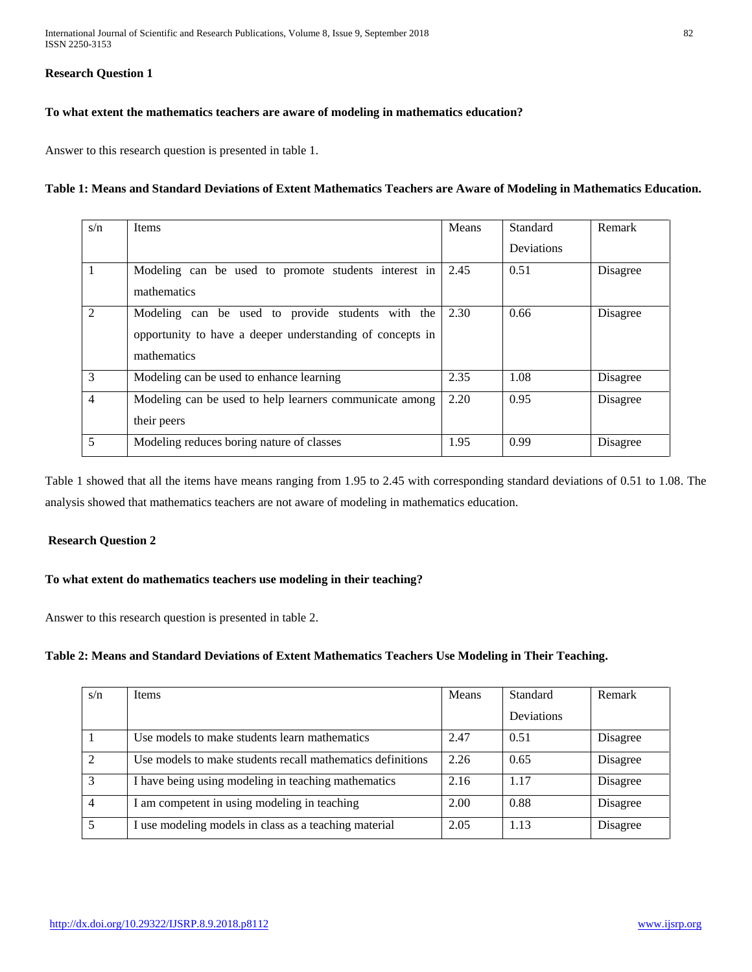# **Research Question 1**

# **To what extent the mathematics teachers are aware of modeling in mathematics education?**

Answer to this research question is presented in table 1.

# **Table 1: Means and Standard Deviations of Extent Mathematics Teachers are Aware of Modeling in Mathematics Education.**

| s/n            | <b>Items</b>                                                                                                                  | Means | Standard<br><b>Deviations</b> | Remark   |
|----------------|-------------------------------------------------------------------------------------------------------------------------------|-------|-------------------------------|----------|
|                | Modeling can be used to promote students interest in<br>mathematics                                                           | 2.45  | 0.51                          | Disagree |
| 2              | Modeling can be used to provide students with the<br>opportunity to have a deeper understanding of concepts in<br>mathematics | 2.30  | 0.66                          | Disagree |
| 3              | Modeling can be used to enhance learning                                                                                      | 2.35  | 1.08                          | Disagree |
| $\overline{4}$ | Modeling can be used to help learners communicate among<br>their peers                                                        | 2.20  | 0.95                          | Disagree |
| 5              | Modeling reduces boring nature of classes                                                                                     | 1.95  | 0.99                          | Disagree |

Table 1 showed that all the items have means ranging from 1.95 to 2.45 with corresponding standard deviations of 0.51 to 1.08. The analysis showed that mathematics teachers are not aware of modeling in mathematics education.

## **Research Question 2**

# **To what extent do mathematics teachers use modeling in their teaching?**

Answer to this research question is presented in table 2.

# **Table 2: Means and Standard Deviations of Extent Mathematics Teachers Use Modeling in Their Teaching.**

| s/n                         | <b>Items</b>                                               | Means | Standard          | Remark   |
|-----------------------------|------------------------------------------------------------|-------|-------------------|----------|
|                             |                                                            |       | <b>Deviations</b> |          |
|                             | Use models to make students learn mathematics              | 2.47  | 0.51              | Disagree |
| $\mathcal{D}_{\mathcal{L}}$ | Use models to make students recall mathematics definitions | 2.26  | 0.65              | Disagree |
| $\mathcal{R}$               | I have being using modeling in teaching mathematics        | 2.16  | 1.17              | Disagree |
| 4                           | I am competent in using modeling in teaching               | 2.00  | 0.88              | Disagree |
|                             | I use modeling models in class as a teaching material      | 2.05  | 1.13              | Disagree |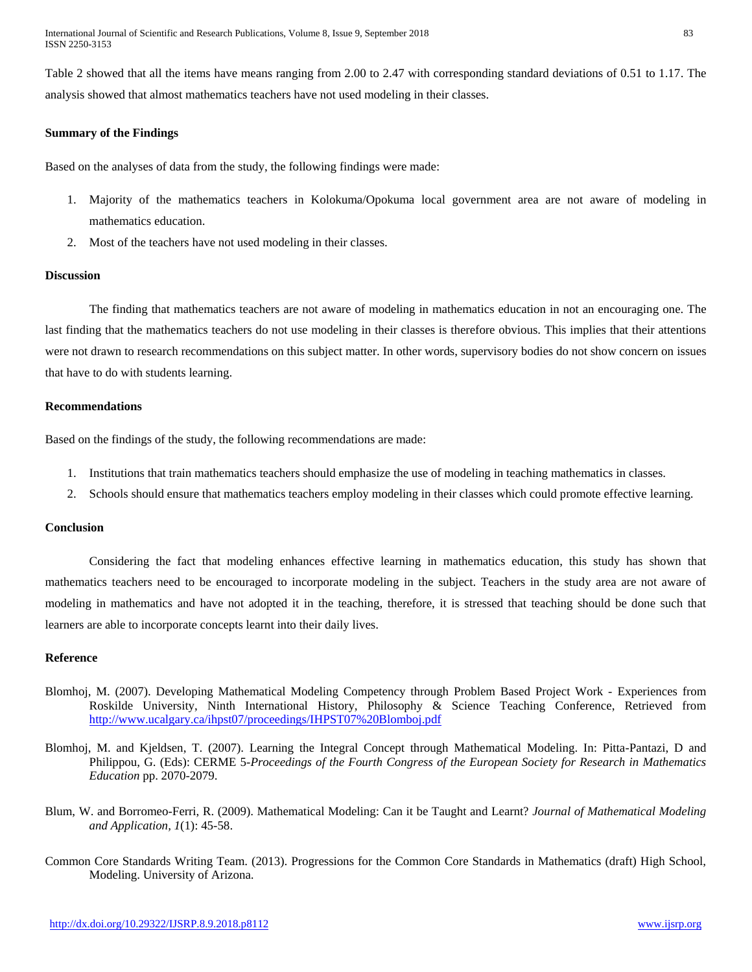Table 2 showed that all the items have means ranging from 2.00 to 2.47 with corresponding standard deviations of 0.51 to 1.17. The analysis showed that almost mathematics teachers have not used modeling in their classes.

## **Summary of the Findings**

Based on the analyses of data from the study, the following findings were made:

- 1. Majority of the mathematics teachers in Kolokuma/Opokuma local government area are not aware of modeling in mathematics education.
- 2. Most of the teachers have not used modeling in their classes.

# **Discussion**

The finding that mathematics teachers are not aware of modeling in mathematics education in not an encouraging one. The last finding that the mathematics teachers do not use modeling in their classes is therefore obvious. This implies that their attentions were not drawn to research recommendations on this subject matter. In other words, supervisory bodies do not show concern on issues that have to do with students learning.

## **Recommendations**

Based on the findings of the study, the following recommendations are made:

- 1. Institutions that train mathematics teachers should emphasize the use of modeling in teaching mathematics in classes.
- 2. Schools should ensure that mathematics teachers employ modeling in their classes which could promote effective learning.

## **Conclusion**

Considering the fact that modeling enhances effective learning in mathematics education, this study has shown that mathematics teachers need to be encouraged to incorporate modeling in the subject. Teachers in the study area are not aware of modeling in mathematics and have not adopted it in the teaching, therefore, it is stressed that teaching should be done such that learners are able to incorporate concepts learnt into their daily lives.

## **Reference**

- Blomhoj, M. (2007). Developing Mathematical Modeling Competency through Problem Based Project Work Experiences from Roskilde University, Ninth International History, Philosophy & Science Teaching Conference, Retrieved from <http://www.ucalgary.ca/ihpst07/proceedings/IHPST07%20Blomboj.pdf>
- Blomhoj, M. and Kjeldsen, T. (2007). Learning the Integral Concept through Mathematical Modeling. In: Pitta-Pantazi, D and Philippou, G. (Eds): CERME 5-*Proceedings of the Fourth Congress of the European Society for Research in Mathematics Education* pp. 2070-2079.
- Blum, W. and Borromeo-Ferri, R. (2009). Mathematical Modeling: Can it be Taught and Learnt? *Journal of Mathematical Modeling and Application, 1*(1): 45-58.
- Common Core Standards Writing Team. (2013). Progressions for the Common Core Standards in Mathematics (draft) High School, Modeling. University of Arizona.